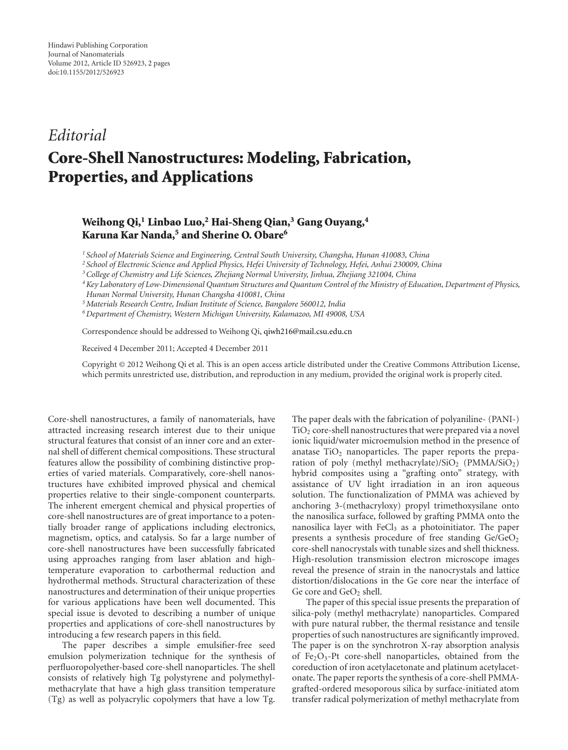## *Editorial*

## **Core-Shell Nanostructures: Modeling, Fabrication, Properties, and Applications**

## **Weihong Qi,1 Linbao Luo,2 Hai-Sheng Qian,3 Gang Ouyang,4 Karuna Kar Nanda,5 and Sherine O. Obare6**

*<sup>1</sup> School of Materials Science and Engineering, Central South University, Changsha, Hunan 410083, China*

*<sup>2</sup> School of Electronic Science and Applied Physics, Hefei University of Technology, Hefei, Anhui 230009, China*

*3College of Chemistry and Life Sciences, Zhejiang Normal University, Jinhua, Zhejiang 321004, China*

*4Key Laboratory of Low-Dimensional Quantum Structures and Quantum Control of the Ministry of Education, Department of Physics,*

*Hunan Normal University, Hunan Changsha 410081, China*

*5Materials Research Centre, Indian Institute of Science, Bangalore 560012, India*

*6Department of Chemistry, Western Michigan University, Kalamazoo, MI 49008, USA*

Correspondence should be addressed to Weihong Qi, qiwh216@mail.csu.edu.cn

Received 4 December 2011; Accepted 4 December 2011

Copyright © 2012 Weihong Qi et al. This is an open access article distributed under the Creative Commons Attribution License, which permits unrestricted use, distribution, and reproduction in any medium, provided the original work is properly cited.

Core-shell nanostructures, a family of nanomaterials, have attracted increasing research interest due to their unique structural features that consist of an inner core and an external shell of different chemical compositions. These structural features allow the possibility of combining distinctive properties of varied materials. Comparatively, core-shell nanostructures have exhibited improved physical and chemical properties relative to their single-component counterparts. The inherent emergent chemical and physical properties of core-shell nanostructures are of great importance to a potentially broader range of applications including electronics, magnetism, optics, and catalysis. So far a large number of core-shell nanostructures have been successfully fabricated using approaches ranging from laser ablation and hightemperature evaporation to carbothermal reduction and hydrothermal methods. Structural characterization of these nanostructures and determination of their unique properties for various applications have been well documented. This special issue is devoted to describing a number of unique properties and applications of core-shell nanostructures by introducing a few research papers in this field.

The paper describes a simple emulsifier-free seed emulsion polymerization technique for the synthesis of perfluoropolyether-based core-shell nanoparticles. The shell consists of relatively high Tg polystyrene and polymethylmethacrylate that have a high glass transition temperature (Tg) as well as polyacrylic copolymers that have a low Tg.

The paper deals with the fabrication of polyaniline- (PANI-)  $TiO<sub>2</sub>$  core-shell nanostructures that were prepared via a novel ionic liquid/water microemulsion method in the presence of anatase  $TiO<sub>2</sub>$  nanoparticles. The paper reports the preparation of poly (methyl methacrylate)/ $SiO<sub>2</sub>$  (PMMA/ $SiO<sub>2</sub>$ ) hybrid composites using a "grafting onto" strategy, with assistance of UV light irradiation in an iron aqueous solution. The functionalization of PMMA was achieved by anchoring 3-(methacryloxy) propyl trimethoxysilane onto the nanosilica surface, followed by grafting PMMA onto the nanosilica layer with  $FeCl<sub>3</sub>$  as a photoinitiator. The paper presents a synthesis procedure of free standing  $Ge/GeO<sub>2</sub>$ core-shell nanocrystals with tunable sizes and shell thickness. High-resolution transmission electron microscope images reveal the presence of strain in the nanocrystals and lattice distortion/dislocations in the Ge core near the interface of Ge core and GeO<sub>2</sub> shell.

The paper of this special issue presents the preparation of silica-poly (methyl methacrylate) nanoparticles. Compared with pure natural rubber, the thermal resistance and tensile properties of such nanostructures are significantly improved. The paper is on the synchrotron X-ray absorption analysis of Fe<sub>2</sub>O<sub>3</sub>-Pt core-shell nanoparticles, obtained from the coreduction of iron acetylacetonate and platinum acetylacetonate. The paper reports the synthesis of a core-shell PMMAgrafted-ordered mesoporous silica by surface-initiated atom transfer radical polymerization of methyl methacrylate from